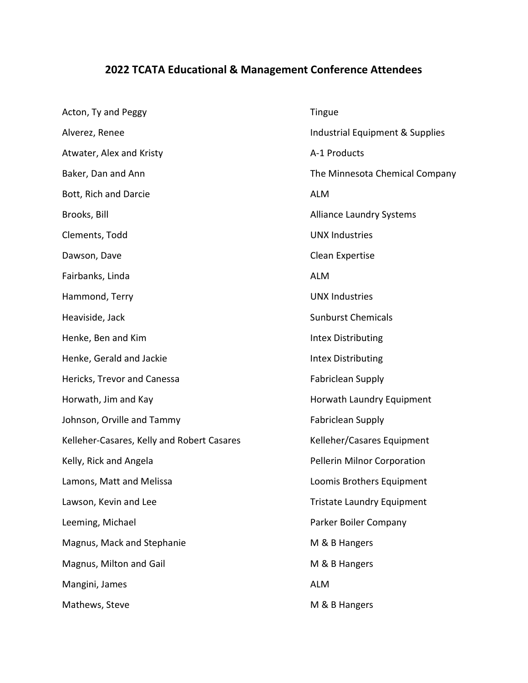## 2022 TCATA Educational & Management Conference Attendees

| Acton, Ty and Peggy                        | Tingue                            |
|--------------------------------------------|-----------------------------------|
| Alverez, Renee                             | Industrial Equipment & Supplies   |
| Atwater, Alex and Kristy                   | A-1 Products                      |
| Baker, Dan and Ann                         | The Minnesota Chemical Company    |
| Bott, Rich and Darcie                      | <b>ALM</b>                        |
| Brooks, Bill                               | <b>Alliance Laundry Systems</b>   |
| Clements, Todd                             | <b>UNX Industries</b>             |
| Dawson, Dave                               | Clean Expertise                   |
| Fairbanks, Linda                           | <b>ALM</b>                        |
| Hammond, Terry                             | <b>UNX Industries</b>             |
| Heaviside, Jack                            | <b>Sunburst Chemicals</b>         |
| Henke, Ben and Kim                         | <b>Intex Distributing</b>         |
| Henke, Gerald and Jackie                   | <b>Intex Distributing</b>         |
| Hericks, Trevor and Canessa                | <b>Fabriclean Supply</b>          |
| Horwath, Jim and Kay                       | Horwath Laundry Equipment         |
| Johnson, Orville and Tammy                 | <b>Fabriclean Supply</b>          |
| Kelleher-Casares, Kelly and Robert Casares | Kelleher/Casares Equipment        |
| Kelly, Rick and Angela                     | Pellerin Milnor Corporation       |
| Lamons, Matt and Melissa                   | Loomis Brothers Equipment         |
| Lawson, Kevin and Lee                      | <b>Tristate Laundry Equipment</b> |
| Leeming, Michael                           | Parker Boiler Company             |
| Magnus, Mack and Stephanie                 | M & B Hangers                     |
| Magnus, Milton and Gail                    | M & B Hangers                     |
| Mangini, James                             | <b>ALM</b>                        |
| Mathews, Steve                             | M & B Hangers                     |